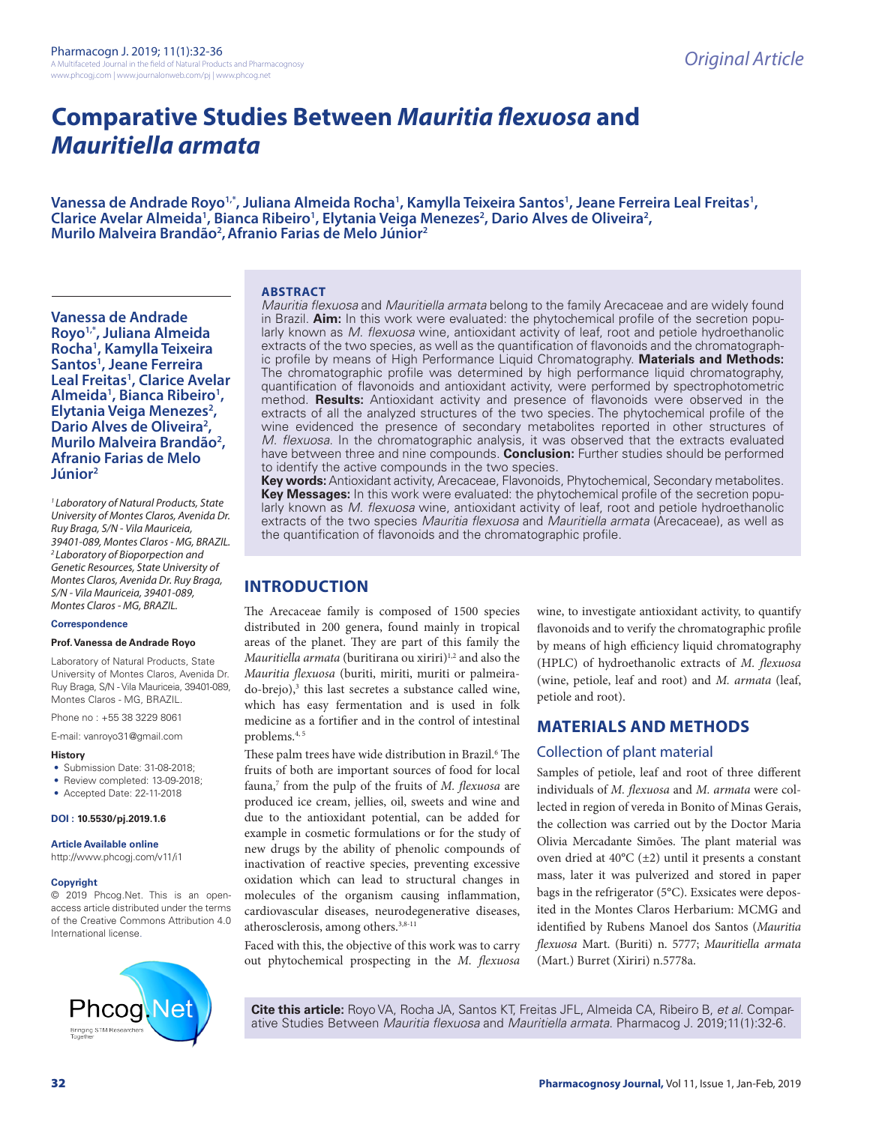# **Comparative Studies Between** *Mauritia flexuosa* **and**  *Mauritiella armata*

Vanessa de Andrade Royo½, Juliana Almeida Rocha½, Kamylla Teixeira Santos½, Jeane Ferreira Leal Freitas½, Clarice Avelar Almeida<sup>1</sup>, Bianca Ribeiro<sup>1</sup>, Elytania Veiga Menezes<sup>2</sup>, Dario Alves de Oliveira<sup>2</sup>, **Murilo Malveira Brandão<sup>2</sup>, Afranio Farias de Melo Júnior<sup>2</sup>** 

#### **ABSTRACT**

**Vanessa de Andrade Royo1,\*, Juliana Almeida Rocha1 , Kamylla Teixeira Santos1 , Jeane Ferreira Leal Freitas1 , Clarice Avelar**  Almeida<sup>1</sup>, Bianca Ribeiro<sup>1</sup>,<br>Elytania Veiga Menezes<sup>2</sup>, **Elytania Veiga Menezes<sup>2</sup>,<br>Dario Alves de Oliveira<sup>2</sup>,** Dario Alves de Oliveira<sup>2</sup>,<br>Murilo Malveira Brandão<sup>2</sup> **, Afranio Farias de Melo Júnior2**

*1 Laboratory of Natural Products, State University of Montes Claros, Avenida Dr. Ruy Braga, S/N - Vila Mauriceia, 39401-089, Montes Claros - MG, BRAZIL. 2 Laboratory of Bioporpection and Genetic Resources, State University of Montes Claros, Avenida Dr. Ruy Braga, S/N - Vila Mauriceia, 39401-089, Montes Claros - MG, BRAZIL.*

#### **Correspondence**

#### **Prof. Vanessa de Andrade Royo**

Laboratory of Natural Products, State University of Montes Claros, Avenida Dr. Ruy Braga, S/N - Vila Mauriceia, 39401-089, Montes Claros - MG, BRAZIL.

Phone no : +55 38 3229 8061

E-mail: vanroyo31@gmail.com

#### **History**

- Submission Date: 31-08-2018;
- Review completed: 13-09-2018:
- Accepted Date: 22-11-2018

#### **DOI : 10.5530/pj.2019.1.6**

**Article Available online** 

http://www.phcogj.com/v11/i1

#### **Copyright**

© 2019 Phcog.Net. This is an openaccess article distributed under the terms of the Creative Commons Attribution 4.0 International license.



*Mauritia flexuosa* and *Mauritiella armata* belong to the family Arecaceae and are widely found in Brazil. **Aim:** In this work were evaluated: the phytochemical profile of the secretion popularly known as *M. flexuosa* wine, antioxidant activity of leaf, root and petiole hydroethanolic extracts of the two species, as well as the quantification of flavonoids and the chromatographic profile by means of High Performance Liquid Chromatography. **Materials and Methods:** The chromatographic profile was determined by high performance liquid chromatography, quantification of flavonoids and antioxidant activity, were performed by spectrophotometric method. **Results:** Antioxidant activity and presence of flavonoids were observed in the extracts of all the analyzed structures of the two species. The phytochemical profile of the wine evidenced the presence of secondary metabolites reported in other structures of *M. flexuosa*. In the chromatographic analysis, it was observed that the extracts evaluated have between three and nine compounds. **Conclusion:** Further studies should be performed to identify the active compounds in the two species.

**Key words:** Antioxidant activity, Arecaceae, Flavonoids, Phytochemical, Secondary metabolites. **Key Messages:** In this work were evaluated: the phytochemical profile of the secretion popularly known as *M. flexuosa* wine, antioxidant activity of leaf, root and petiole hydroethanolic extracts of the two species *Mauritia flexuosa* and *Mauritiella armata* (Arecaceae), as well as the quantification of flavonoids and the chromatographic profile.

## **INTRODUCTION**

The Arecaceae family is composed of 1500 species distributed in 200 genera, found mainly in tropical areas of the planet. They are part of this family the *Mauritiella armata* (buritirana ou xiriri)<sup>1,2</sup> and also the *Mauritia flexuosa* (buriti, miriti, muriti or palmeirado-brejo),<sup>3</sup> this last secretes a substance called wine, which has easy fermentation and is used in folk medicine as a fortifier and in the control of intestinal problems.4, 5

These palm trees have wide distribution in Brazil.<sup>6</sup> The fruits of both are important sources of food for local fauna,<sup>7</sup> from the pulp of the fruits of *M. flexuosa* are produced ice cream, jellies, oil, sweets and wine and due to the antioxidant potential, can be added for example in cosmetic formulations or for the study of new drugs by the ability of phenolic compounds of inactivation of reactive species, preventing excessive oxidation which can lead to structural changes in molecules of the organism causing inflammation, cardiovascular diseases, neurodegenerative diseases, atherosclerosis, among others.  $\boldsymbol{^{3,8\text{-}11}}$ 

Faced with this, the objective of this work was to carry out phytochemical prospecting in the *M. flexuosa* 

wine, to investigate antioxidant activity, to quantify flavonoids and to verify the chromatographic profile by means of high efficiency liquid chromatography (HPLC) of hydroethanolic extracts of *M. flexuosa*  (wine, petiole, leaf and root) and *M. armata* (leaf, petiole and root).

## **MATERIALS AND METHODS**

## Collection of plant material

Samples of petiole, leaf and root of three different individuals of *M. flexuosa* and *M. armata* were collected in region of vereda in Bonito of Minas Gerais, the collection was carried out by the Doctor Maria Olivia Mercadante Simões. The plant material was oven dried at 40°C (±2) until it presents a constant mass, later it was pulverized and stored in paper bags in the refrigerator (5°C). Exsicates were deposited in the Montes Claros Herbarium: MCMG and identified by Rubens Manoel dos Santos (*Mauritia flexuosa* Mart. (Buriti) n. 5777; *Mauritiella armata* (Mart.) Burret (Xiriri) n.5778a.

**Cite this article:** Royo VA, Rocha JA, Santos KT, Freitas JFL, Almeida CA, Ribeiro B, *et al*. Comparative Studies Between *Mauritia flexuosa* and *Mauritiella armata*. Pharmacog J. 2019;11(1):32-6.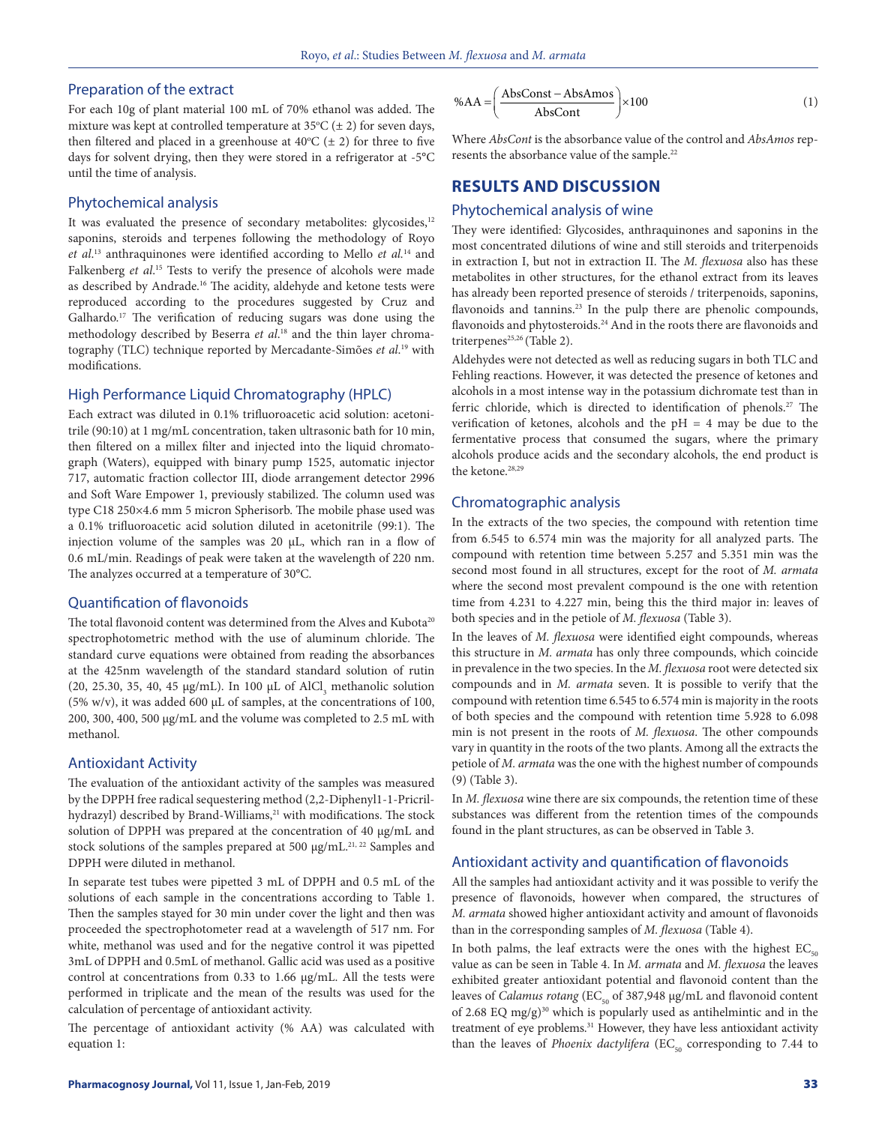## Preparation of the extract

For each 10g of plant material 100 mL of 70% ethanol was added. The mixture was kept at controlled temperature at  $35^{\circ}C \neq 2$ ) for seven days, then filtered and placed in a greenhouse at  $40^{\circ}C$  ( $\pm$  2) for three to five days for solvent drying, then they were stored in a refrigerator at -5°C until the time of analysis.

## Phytochemical analysis

It was evaluated the presence of secondary metabolites: glycosides,<sup>12</sup> saponins, steroids and terpenes following the methodology of Royo *et al*. 13 anthraquinones were identified according to Mello *et al.*14 and Falkenberg *et al*. 15 Tests to verify the presence of alcohols were made as described by Andrade.<sup>16</sup> The acidity, aldehyde and ketone tests were reproduced according to the procedures suggested by Cruz and Galhardo.<sup>17</sup> The verification of reducing sugars was done using the methodology described by Beserra *et al*. 18 and the thin layer chromatography (TLC) technique reported by Mercadante-Simões *et al*. 19 with modifications.

#### High Performance Liquid Chromatography (HPLC)

Each extract was diluted in 0.1% trifluoroacetic acid solution: acetonitrile (90:10) at 1 mg/mL concentration, taken ultrasonic bath for 10 min, then filtered on a millex filter and injected into the liquid chromatograph (Waters), equipped with binary pump 1525, automatic injector 717, automatic fraction collector III, diode arrangement detector 2996 and Soft Ware Empower 1, previously stabilized. The column used was type C18 250×4.6 mm 5 micron Spherisorb. The mobile phase used was a 0.1% trifluoroacetic acid solution diluted in acetonitrile (99:1). The injection volume of the samples was 20 μL, which ran in a flow of 0.6 mL/min. Readings of peak were taken at the wavelength of 220 nm. The analyzes occurred at a temperature of 30°C.

#### Quantification of flavonoids

The total flavonoid content was determined from the Alves and Kubota<sup>20</sup> spectrophotometric method with the use of aluminum chloride. The standard curve equations were obtained from reading the absorbances at the 425nm wavelength of the standard standard solution of rutin (20, 25.30, 35, 40, 45  $\mu$ g/mL). In 100  $\mu$ L of AlCl<sub>3</sub> methanolic solution (5% w/v), it was added 600 μL of samples, at the concentrations of 100, 200, 300, 400, 500 μg/mL and the volume was completed to 2.5 mL with methanol.

## Antioxidant Activity

The evaluation of the antioxidant activity of the samples was measured by the DPPH free radical sequestering method (2,2-Diphenyl1-1-Pricrilhydrazyl) described by Brand-Williams,<sup>21</sup> with modifications. The stock solution of DPPH was prepared at the concentration of 40 μg/mL and stock solutions of the samples prepared at 500 μg/mL.<sup>21, 22</sup> Samples and DPPH were diluted in methanol.

In separate test tubes were pipetted 3 mL of DPPH and 0.5 mL of the solutions of each sample in the concentrations according to Table 1. Then the samples stayed for 30 min under cover the light and then was proceeded the spectrophotometer read at a wavelength of 517 nm. For white, methanol was used and for the negative control it was pipetted 3mL of DPPH and 0.5mL of methanol. Gallic acid was used as a positive control at concentrations from 0.33 to 1.66 μg/mL. All the tests were performed in triplicate and the mean of the results was used for the calculation of percentage of antioxidant activity.

The percentage of antioxidant activity (% AA) was calculated with equation 1:

$$
%AA = \left(\frac{AbsConst - AbsAmos}{AbsCont}\right) \times 100
$$
 (1)

Where *AbsCont* is the absorbance value of the control and *AbsAmos* represents the absorbance value of the sample.<sup>22</sup>

## **RESULTS AND DISCUSSION**

## Phytochemical analysis of wine

They were identified: Glycosides, anthraquinones and saponins in the most concentrated dilutions of wine and still steroids and triterpenoids in extraction I, but not in extraction II. The *M. flexuosa* also has these metabolites in other structures, for the ethanol extract from its leaves has already been reported presence of steroids / triterpenoids, saponins, flavonoids and tannins.<sup>23</sup> In the pulp there are phenolic compounds, flavonoids and phytosteroids.<sup>24</sup> And in the roots there are flavonoids and triterpenes<sup>25,26</sup> (Table 2).

Aldehydes were not detected as well as reducing sugars in both TLC and Fehling reactions. However, it was detected the presence of ketones and alcohols in a most intense way in the potassium dichromate test than in ferric chloride, which is directed to identification of phenols.<sup>27</sup> The verification of ketones, alcohols and the  $pH = 4$  may be due to the fermentative process that consumed the sugars, where the primary alcohols produce acids and the secondary alcohols, the end product is the ketone.<sup>28,29</sup>

#### Chromatographic analysis

In the extracts of the two species, the compound with retention time from 6.545 to 6.574 min was the majority for all analyzed parts. The compound with retention time between 5.257 and 5.351 min was the second most found in all structures, except for the root of *M. armata* where the second most prevalent compound is the one with retention time from 4.231 to 4.227 min, being this the third major in: leaves of both species and in the petiole of *M. flexuosa* (Table 3).

In the leaves of *M. flexuosa* were identified eight compounds, whereas this structure in *M. armata* has only three compounds, which coincide in prevalence in the two species. In the *M. flexuosa* root were detected six compounds and in *M. armata* seven. It is possible to verify that the compound with retention time 6.545 to 6.574 min is majority in the roots of both species and the compound with retention time 5.928 to 6.098 min is not present in the roots of *M. flexuosa*. The other compounds vary in quantity in the roots of the two plants. Among all the extracts the petiole of *M. armata* was the one with the highest number of compounds (9) (Table 3).

In *M. flexuosa* wine there are six compounds, the retention time of these substances was different from the retention times of the compounds found in the plant structures, as can be observed in Table 3.

#### Antioxidant activity and quantification of flavonoids

All the samples had antioxidant activity and it was possible to verify the presence of flavonoids, however when compared, the structures of *M. armata* showed higher antioxidant activity and amount of flavonoids than in the corresponding samples of *M. flexuosa* (Table 4).

In both palms, the leaf extracts were the ones with the highest  $EC_{50}$ value as can be seen in Table 4. In *M. armata* and *M. flexuosa* the leaves exhibited greater antioxidant potential and flavonoid content than the leaves of *Calamus rotang* (EC<sub>50</sub> of 387,948 μg/mL and flavonoid content of 2.68 EQ mg/g)<sup>30</sup> which is popularly used as antihelmintic and in the treatment of eye problems.<sup>31</sup> However, they have less antioxidant activity than the leaves of *Phoenix dactylifera* (EC<sub>50</sub> corresponding to 7.44 to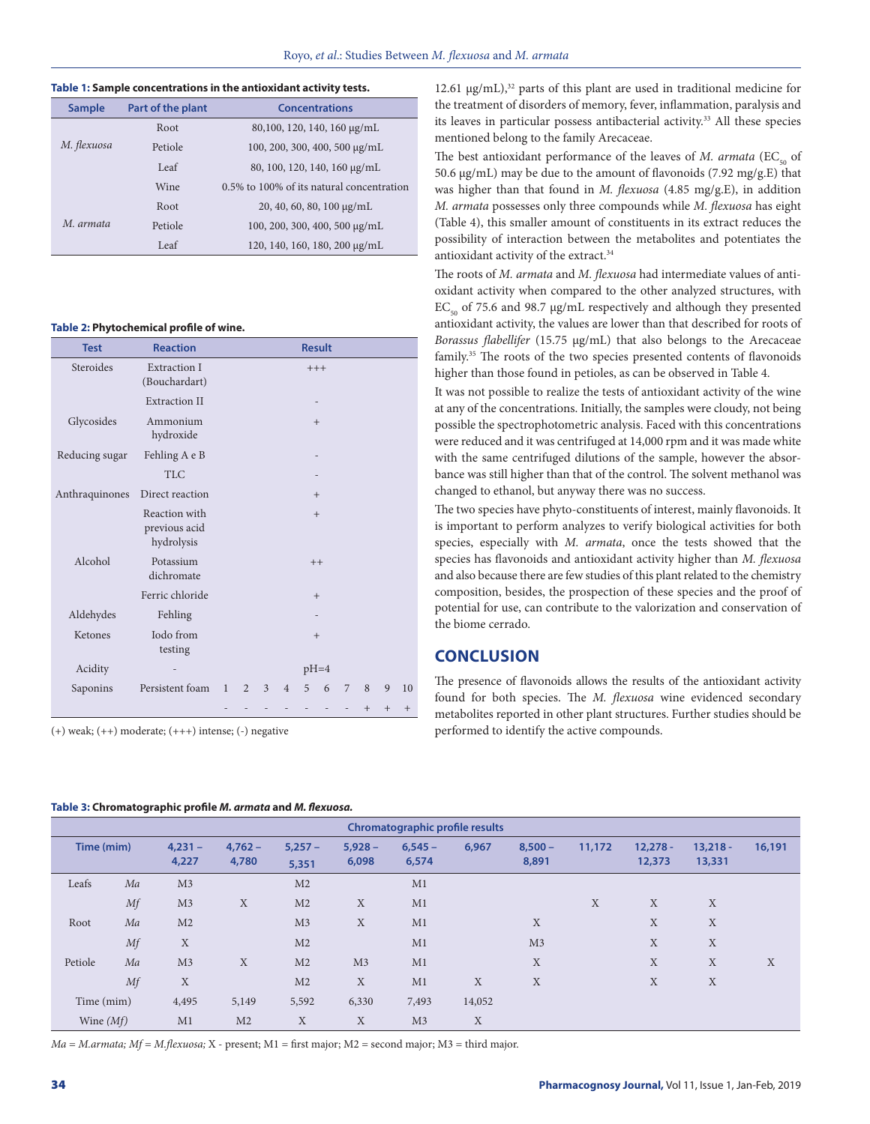|               |                   | Table 1: Sample concentrations in the antioxidant activity tests. |
|---------------|-------------------|-------------------------------------------------------------------|
| <b>Sample</b> | Part of the plant | <b>Concentrations</b>                                             |
|               | Root              | 80,100, 120, 140, 160 μg/mL                                       |
| M. flexuosa   | Petiole           | 100, 200, 300, 400, 500 µg/mL                                     |
|               | Leaf              | 80, 100, 120, 140, 160 µg/mL                                      |
|               | Wine              | 0.5% to 100% of its natural concentration                         |
|               | Root              | $20, 40, 60, 80, 100 \mu g/mL$                                    |
| M. armata     | Petiole           | 100, 200, 300, 400, 500 µg/mL                                     |
|               | Leaf              | 120, 140, 160, 180, 200 µg/mL                                     |

#### **Table 2: Phytochemical profile of wine.**

| <b>Test</b>    | <b>Reaction</b>                              |              |                |   |                |                          | <b>Result</b>            |                          |     |     |     |
|----------------|----------------------------------------------|--------------|----------------|---|----------------|--------------------------|--------------------------|--------------------------|-----|-----|-----|
| Steroides      | <b>Extraction I</b><br>(Bouchardart)         |              |                |   |                |                          | $+++$                    |                          |     |     |     |
|                | <b>Extraction II</b>                         |              |                |   |                |                          |                          |                          |     |     |     |
| Glycosides     | Ammonium<br>hydroxide                        |              |                |   |                | $+$                      |                          |                          |     |     |     |
| Reducing sugar | Fehling A e B                                |              |                |   |                | $\overline{\phantom{0}}$ |                          |                          |     |     |     |
|                | <b>TLC</b>                                   |              |                |   |                |                          | $\overline{\phantom{0}}$ |                          |     |     |     |
| Anthraquinones | Direct reaction                              |              |                |   |                | $+$                      |                          |                          |     |     |     |
|                | Reaction with<br>previous acid<br>hydrolysis |              |                |   |                | $+$                      |                          |                          |     |     |     |
| Alcohol        | Potassium<br>dichromate                      |              |                |   |                |                          | $++$                     |                          |     |     |     |
|                | Ferric chloride                              |              |                |   |                | $+$                      |                          |                          |     |     |     |
| Aldehydes      | Fehling                                      |              |                |   |                |                          |                          |                          |     |     |     |
| Ketones        | Iodo from<br>testing                         |              |                |   |                | $+$                      |                          |                          |     |     |     |
| Acidity        |                                              |              |                |   |                |                          | $pH=4$                   |                          |     |     |     |
| Saponins       | Persistent foam                              | $\mathbf{1}$ | $\overline{2}$ | 3 | $\overline{4}$ | 5                        | 6                        | 7                        | 8   | 9   | 10  |
|                |                                              |              |                |   | $\overline{a}$ |                          |                          | $\overline{\phantom{m}}$ | $+$ | $+$ | $+$ |

 $(+)$  weak;  $(++)$  moderate;  $(++)$  intense;  $(-)$  negative

12.61  $\mu$ g/mL),<sup>32</sup> parts of this plant are used in traditional medicine for the treatment of disorders of memory, fever, inflammation, paralysis and its leaves in particular possess antibacterial activity.33 All these species mentioned belong to the family Arecaceae.

The best antioxidant performance of the leaves of *M. armata* (EC<sub>50</sub> of 50.6 μg/mL) may be due to the amount of flavonoids (7.92 mg/g.E) that was higher than that found in *M. flexuosa* (4.85 mg/g.E), in addition *M. armata* possesses only three compounds while *M. flexuosa* has eight (Table 4), this smaller amount of constituents in its extract reduces the possibility of interaction between the metabolites and potentiates the antioxidant activity of the extract.<sup>34</sup>

The roots of *M. armata* and *M. flexuosa* had intermediate values of antioxidant activity when compared to the other analyzed structures, with  $EC_{50}$  of 75.6 and 98.7 µg/mL respectively and although they presented antioxidant activity, the values are lower than that described for roots of *Borassus flabellifer* (15.75 μg/mL) that also belongs to the Arecaceae family.35 The roots of the two species presented contents of flavonoids higher than those found in petioles, as can be observed in Table 4.

It was not possible to realize the tests of antioxidant activity of the wine at any of the concentrations. Initially, the samples were cloudy, not being possible the spectrophotometric analysis. Faced with this concentrations were reduced and it was centrifuged at 14,000 rpm and it was made white with the same centrifuged dilutions of the sample, however the absorbance was still higher than that of the control. The solvent methanol was changed to ethanol, but anyway there was no success.

The two species have phyto-constituents of interest, mainly flavonoids. It is important to perform analyzes to verify biological activities for both species, especially with *M. armata*, once the tests showed that the species has flavonoids and antioxidant activity higher than *M. flexuosa* and also because there are few studies of this plant related to the chemistry composition, besides, the prospection of these species and the proof of potential for use, can contribute to the valorization and conservation of the biome cerrado.

## **CONCLUSION**

The presence of flavonoids allows the results of the antioxidant activity found for both species. The *M. flexuosa* wine evidenced secondary metabolites reported in other plant structures. Further studies should be performed to identify the active compounds.

#### **Table 3: Chromatographic profile** *M. armata* **and** *M. flexuosa.*

|             |    |                    |                    |                   |                    | Chromatographic profile results |        |                    |        |                      |                      |        |
|-------------|----|--------------------|--------------------|-------------------|--------------------|---------------------------------|--------|--------------------|--------|----------------------|----------------------|--------|
| Time (mim)  |    | $4,231 -$<br>4,227 | $4,762 -$<br>4,780 | $5,257-$<br>5,351 | $5,928 -$<br>6,098 | $6,545 -$<br>6,574              | 6,967  | $8.500 -$<br>8,891 | 11,172 | $12,278 -$<br>12,373 | $13,218 -$<br>13,331 | 16,191 |
| Leafs       | Ma | M <sub>3</sub>     |                    | M <sub>2</sub>    |                    | M1                              |        |                    |        |                      |                      |        |
|             | Mf | M <sub>3</sub>     | X                  | M <sub>2</sub>    | X                  | M1                              |        |                    | X      | X                    | X                    |        |
| Root        | Ma | M <sub>2</sub>     |                    | M <sub>3</sub>    | X                  | M1                              |        | X                  |        | X                    | X                    |        |
|             | Mf | X                  |                    | M <sub>2</sub>    |                    | M1                              |        | M <sub>3</sub>     |        | X                    | X                    |        |
| Petiole     | Ma | M <sub>3</sub>     | X                  | M <sub>2</sub>    | M <sub>3</sub>     | M1                              |        | X                  |        | X                    | X                    | X      |
|             | Mf | X                  |                    | M <sub>2</sub>    | X                  | M1                              | X      | X                  |        | X                    | X                    |        |
| Time (mim)  |    | 4,495              | 5,149              | 5,592             | 6,330              | 7,493                           | 14,052 |                    |        |                      |                      |        |
| Wine $(Mf)$ |    | M1                 | M <sub>2</sub>     | $\mathbf X$       | $\mathbf X$        | M <sub>3</sub>                  | X      |                    |        |                      |                      |        |

*Ma = M.armata; Mf = M.flexuosa;* X - present; M1 = first major; M2 = second major; M3 = third major.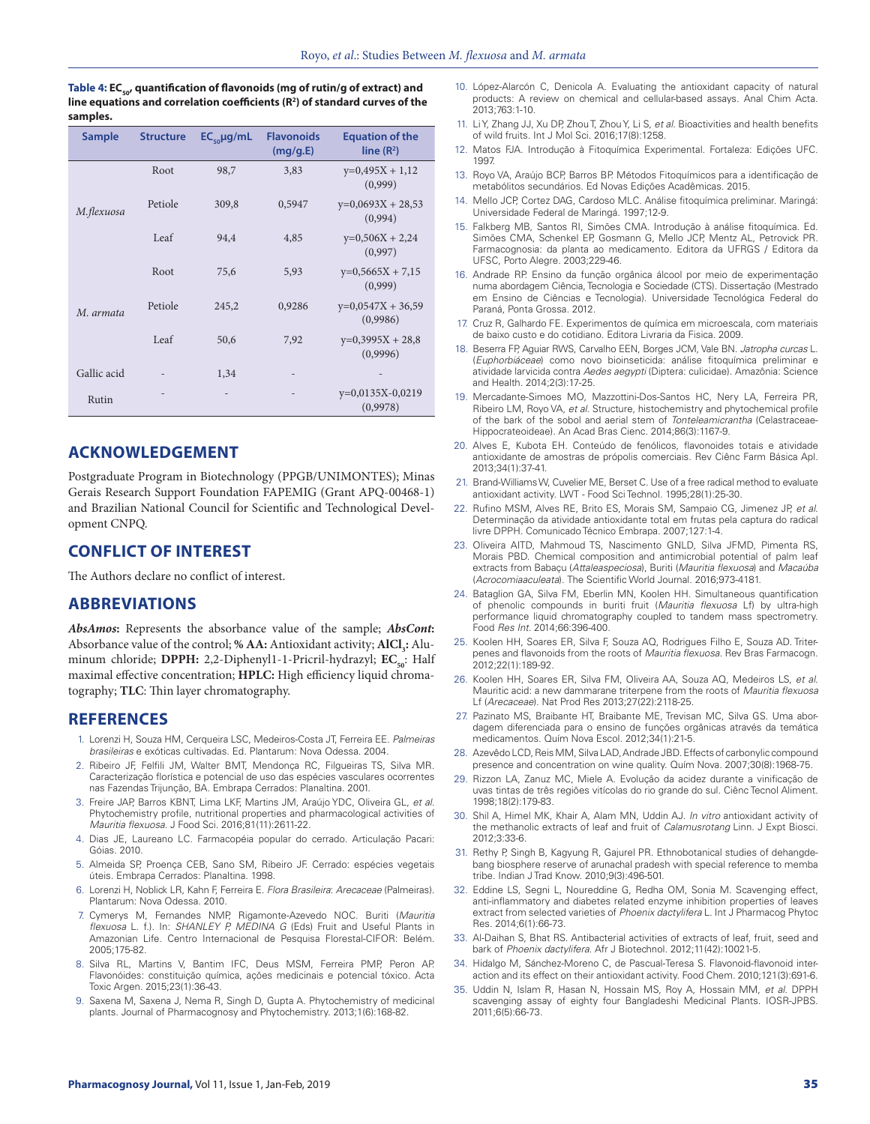Table 4: EC<sub>50</sub>, quantification of flavonoids (mg of rutin/g of extract) and **line equations and correlation coefficients (R2 ) of standard curves of the samples.**

| <b>Sample</b> | <b>Structure</b> | $EC_{\omega}$ µg/mL | <b>Flavonoids</b><br>(mq/q.E) | <b>Equation of the</b><br>line $(R^2)$ |
|---------------|------------------|---------------------|-------------------------------|----------------------------------------|
|               | Root             | 98,7                | 3,83                          | $y=0,495X + 1,12$<br>(0,999)           |
| M.flexuosa    | Petiole          | 309,8               | 0,5947                        | $y=0,0693X + 28,53$<br>(0,994)         |
|               | Leaf             | 94,4                | 4,85                          | $y=0,506X + 2,24$<br>(0,997)           |
|               | Root             | 75,6                | 5,93                          | $y=0,5665X + 7,15$<br>(0,999)          |
| M. armata     | Petiole          | 245,2               | 0,9286                        | $y=0,0547X + 36,59$<br>(0,9986)        |
|               | Leaf             | 50,6                | 7,92                          | $y=0,3995X + 28,8$<br>(0,9996)         |
| Gallic acid   |                  | 1,34                |                               |                                        |
| Rutin         |                  |                     |                               | $y=0,0135X-0,0219$<br>(0,9978)         |

## **ACKNOWLEDGEMENT**

Postgraduate Program in Biotechnology (PPGB/UNIMONTES); Minas Gerais Research Support Foundation FAPEMIG (Grant APQ-00468-1) and Brazilian National Council for Scientific and Technological Development CNPQ.

## **CONFLICT OF INTEREST**

The Authors declare no conflict of interest.

## **ABBREVIATIONS**

*AbsAmos***:** Represents the absorbance value of the sample; *AbsCont***:** Absorbance value of the control; % **AA:** Antioxidant activity;  $\text{AICI}_3$ : Aluminum chloride; DPPH: 2,2-Diphenyl1-1-Pricril-hydrazyl; EC<sub>50</sub>: Half maximal effective concentration; **HPLC:** High efficiency liquid chromatography; **TLC**: Thin layer chromatography.

## **REFERENCES**

- 1. Lorenzi H, Souza HM, Cerqueira LSC, Medeiros-Costa JT, Ferreira EE. *Palmeiras brasileiras* e exóticas cultivadas. Ed. Plantarum: Nova Odessa. 2004.
- 2. Ribeiro JF, Felfili JM, Walter BMT, Mendonça RC, Filgueiras TS, Silva MR. Caracterização florística e potencial de uso das espécies vasculares ocorrentes nas Fazendas Trijunção, BA. Embrapa Cerrados: Planaltina. 2001.
- 3. Freire JAP, Barros KBNT, Lima LKF, Martins JM, Araújo YDC, Oliveira GL, *et al*. Phytochemistry profile, nutritional properties and pharmacological activities of *Mauritia flexuosa*. J Food Sci. 2016;81(11):2611-22.
- 4. Dias JE, Laureano LC. Farmacopéia popular do cerrado. Articulação Pacari: Góias. 2010.
- 5. Almeida SP, Proença CEB, Sano SM, Ribeiro JF. Cerrado: espécies vegetais úteis. Embrapa Cerrados: Planaltina. 1998.
- 6. Lorenzi H, Noblick LR, Kahn F, Ferreira E. *Flora Brasileira*: *Arecaceae* (Palmeiras). Plantarum: Nova Odessa. 2010.
- 7. Cymerys M, Fernandes NMP, Rigamonte-Azevedo NOC. Buriti (*Mauritia flexuosa* L. f.). In: *SHANLEY P, MEDINA G* (Eds) Fruit and Useful Plants in Amazonian Life*.* Centro Internacional de Pesquisa Florestal-CIFOR: Belém. 2005;175-82.
- 8. Silva RL, Martins V, Bantim IFC, Deus MSM, Ferreira PMP, Peron AP. Flavonóides: constituição química, ações medicinais e potencial tóxico. Acta Toxic Argen. 2015;23(1):36-43.
- 9. Saxena M, Saxena J, Nema R, Singh D, Gupta A. Phytochemistry of medicinal plants. Journal of Pharmacognosy and Phytochemistry. 2013;1(6):168-82.
- 10. López-Alarcón C, Denicola A. Evaluating the antioxidant capacity of natural products: A review on chemical and cellular-based assays. Anal Chim Acta. 2013;763:1-10.
- 11. Li Y, Zhang JJ, Xu DP, Zhou T, Zhou Y, Li S, *et al*. Bioactivities and health benefits of wild fruits. Int J Mol Sci. 2016;17(8):1258.
- 12. Matos FJA. Introdução à Fitoquímica Experimental. Fortaleza: Edições UFC. 1997.
- 13. Royo VA, Araújo BCP, Barros BP. Métodos Fitoquímicos para a identificação de metabólitos secundários. Ed Novas Edições Acadêmicas. 2015.
- 14. Mello JCP, Cortez DAG, Cardoso MLC. Análise fitoquímica preliminar. Maringá: Universidade Federal de Maringá. 1997;12-9.
- 15. Falkberg MB, Santos RI, Simões CMA. Introdução à análise fitoquímica. Ed. Simões CMA, Schenkel EP, Gosmann G, Mello JCP, Mentz AL, Petrovick PR. Farmacognosia: da planta ao medicamento. Editora da UFRGS / Editora da UFSC, Porto Alegre. 2003;229-46.
- 16. Andrade RP. Ensino da função orgânica álcool por meio de experimentação numa abordagem Ciência, Tecnologia e Sociedade (CTS). Dissertação (Mestrado em Ensino de Ciências e Tecnologia). Universidade Tecnológica Federal do Paraná, Ponta Grossa. 2012.
- 17. Cruz R, Galhardo FE. Experimentos de química em microescala, com materiais de baixo custo e do cotidiano. Editora Livraria da Fisica. 2009.
- 18. Beserra FP, Aguiar RWS, Carvalho EEN, Borges JCM, Vale BN. *Jatropha curcas* L. (*Euphorbiáceae*) como novo bioinseticida: análise fitoquímica preliminar e atividade larvicida contra *Aedes aegypti* (Diptera: culicidae). Amazônia: Science and Health. 2014;2(3):17-25.
- 19. Mercadante-Simoes MO, Mazzottini-Dos-Santos HC, Nery LA, Ferreira PR, Ribeiro LM, Royo VA, *et al*. Structure, histochemistry and phytochemical profile of the bark of the sobol and aerial stem of *Tonteleamicrantha* (Celastraceae-Hippocrateoideae). An Acad Bras Cienc. 2014;86(3):1167-9.
- 20. Alves E, Kubota EH. Conteúdo de fenólicos, flavonoides totais e atividade antioxidante de amostras de própolis comerciais. Rev Ciênc Farm Básica Apl. 2013;34(1):37-41.
- 21. Brand-Williams W, Cuvelier ME, Berset C. Use of a free radical method to evaluate antioxidant activity. LWT - Food Sci Technol. 1995;28(1):25-30.
- 22. Rufino MSM, Alves RE, Brito ES, Morais SM, Sampaio CG, Jimenez JP, *et al*. Determinação da atividade antioxidante total em frutas pela captura do radical livre DPPH. Comunicado Técnico Embrapa. 2007;127:1-4.
- 23. Oliveira AITD, Mahmoud TS, Nascimento GNLD, Silva JFMD, Pimenta RS, Morais PBD. Chemical composition and antimicrobial potential of palm leaf extracts from Babaçu (*Attaleaspeciosa*), Buriti (*Mauritia flexuosa*) and *Macaúba*  (*Acrocomiaaculeata*). The Scientific World Journal. 2016;973-4181.
- 24. Bataglion GA, Silva FM, Eberlin MN, Koolen HH. Simultaneous quantification of phenolic compounds in buriti fruit (*Mauritia flexuosa* Lf) by ultra-high performance liquid chromatography coupled to tandem mass spectrometry. Food *Res Int.* 2014;66:396-400.
- 25. Koolen HH, Soares ER, Silva F, Souza AQ, Rodrigues Filho E, Souza AD. Triterpenes and flavonoids from the roots of *Mauritia flexuosa*. Rev Bras Farmacogn. 2012;22(1):189-92.
- 26. Koolen HH, Soares ER, Silva FM, Oliveira AA, Souza AQ, Medeiros LS, *et al*. Mauritic acid: a new dammarane triterpene from the roots of *Mauritia flexuosa* Lf (*Arecaceae*). Nat Prod Res 2013;27(22):2118-25.
- 27. Pazinato MS, Braibante HT, Braibante ME, Trevisan MC, Silva GS. Uma abordagem diferenciada para o ensino de funções orgânicas através da temática medicamentos. Quím Nova Escol. 2012;34(1):21-5.
- 28. Azevêdo LCD, Reis MM, Silva LAD, Andrade JBD. Effects of carbonylic compound presence and concentration on wine quality. Quím Nova. 2007;30(8):1968-75.
- 29. Rizzon LA, Zanuz MC, Miele A. Evolução da acidez durante a vinificação de uvas tintas de três regiões vitícolas do rio grande do sul. Ciênc Tecnol Aliment. 1998;18(2):179-83.
- 30. Shil A, Himel MK, Khair A, Alam MN, Uddin AJ. *In vitro* antioxidant activity of the methanolic extracts of leaf and fruit of *Calamusrotang* Linn. J Expt Biosci*.*  2012;3:33-6.
- 31. Rethy P, Singh B, Kagyung R, Gajurel PR. Ethnobotanical studies of dehangdebang biosphere reserve of arunachal pradesh with special reference to memba tribe. Indian J Trad Know. 2010;9(3):496-501.
- 32. Eddine LS, Segni L, Noureddine G, Redha OM, Sonia M. Scavenging effect, anti-inflammatory and diabetes related enzyme inhibition properties of leaves extract from selected varieties of *Phoenix dactylifera* L. Int J Pharmacog Phytoc Res. 2014;6(1):66-73.
- 33. Al-Daihan S, Bhat RS. Antibacterial activities of extracts of leaf, fruit, seed and bark of *Phoenix dactylifera*. Afr J Biotechnol. 2012;11(42):10021-5.
- 34. Hidalgo M, Sánchez-Moreno C, de Pascual-Teresa S. Flavonoid-flavonoid interaction and its effect on their antioxidant activity. Food Chem. 2010;121(3):691-6.
- 35. Uddin N, Islam R, Hasan N, Hossain MS, Roy A, Hossain MM, *et al*. DPPH scavenging assay of eighty four Bangladeshi Medicinal Plants. IOSR-JPBS. 2011;6(5):66-73.